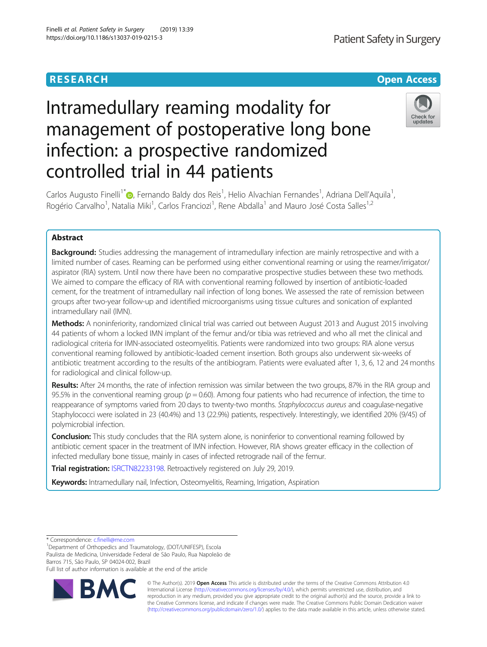# **RESEARCH CHE Open Access**

# Intramedullary reaming modality for management of postoperative long bone infection: a prospective randomized controlled trial in 44 patients



Carlos Augusto Finelli<sup>1\*</sup> (D[,](http://orcid.org/0000-0002-9602-0529) Fernando Baldy dos Reis<sup>1</sup>, Helio Alvachian Fernandes<sup>1</sup>, Adriana Dell'Aquila<sup>1</sup> , Rogério Carvalho<sup>1</sup>, Natalia Miki<sup>1</sup>, Carlos Franciozi<sup>1</sup>, Rene Abdalla<sup>1</sup> and Mauro José Costa Salles<sup>1,2</sup>

# Abstract

**Background:** Studies addressing the management of intramedullary infection are mainly retrospective and with a limited number of cases. Reaming can be performed using either conventional reaming or using the reamer/irrigator/ aspirator (RIA) system. Until now there have been no comparative prospective studies between these two methods. We aimed to compare the efficacy of RIA with conventional reaming followed by insertion of antibiotic-loaded cement, for the treatment of intramedullary nail infection of long bones. We assessed the rate of remission between groups after two-year follow-up and identified microorganisms using tissue cultures and sonication of explanted intramedullary nail (IMN).

Methods: A noninferiority, randomized clinical trial was carried out between August 2013 and August 2015 involving 44 patients of whom a locked IMN implant of the femur and/or tibia was retrieved and who all met the clinical and radiological criteria for IMN-associated osteomyelitis. Patients were randomized into two groups: RIA alone versus conventional reaming followed by antibiotic-loaded cement insertion. Both groups also underwent six-weeks of antibiotic treatment according to the results of the antibiogram. Patients were evaluated after 1, 3, 6, 12 and 24 months for radiological and clinical follow-up.

Results: After 24 months, the rate of infection remission was similar between the two groups, 87% in the RIA group and 95.5% in the conventional reaming group ( $p = 0.60$ ). Among four patients who had recurrence of infection, the time to reappearance of symptoms varied from 20 days to twenty-two months. Staphylococcus aureus and coagulase-negative Staphylococci were isolated in 23 (40.4%) and 13 (22.9%) patients, respectively. Interestingly, we identified 20% (9/45) of polymicrobial infection.

Conclusion: This study concludes that the RIA system alone, is noninferior to conventional reaming followed by antibiotic cement spacer in the treatment of IMN infection. However, RIA shows greater efficacy in the collection of infected medullary bone tissue, mainly in cases of infected retrograde nail of the femur.

Trial registration: [ISRCTN82233198](https://doi.org/10.1186/ISRCTN82233198). Retroactively registered on July 29, 2019.

Keywords: Intramedullary nail, Infection, Osteomyelitis, Reaming, Irrigation, Aspiration

\* Correspondence: [c.finelli@me.com](mailto:c.finelli@me.com) <sup>1</sup>

<sup>1</sup>Department of Orthopedics and Traumatology, (DOT/UNIFESP), Escola Paulista de Medicina, Universidade Federal de São Paulo, Rua Napoleão de Barros 715, São Paulo, SP 04024-002, Brazil Full list of author information is available at the end of the article



© The Author(s). 2019 **Open Access** This article is distributed under the terms of the Creative Commons Attribution 4.0 International License [\(http://creativecommons.org/licenses/by/4.0/](http://creativecommons.org/licenses/by/4.0/)), which permits unrestricted use, distribution, and reproduction in any medium, provided you give appropriate credit to the original author(s) and the source, provide a link to the Creative Commons license, and indicate if changes were made. The Creative Commons Public Domain Dedication waiver [\(http://creativecommons.org/publicdomain/zero/1.0/](http://creativecommons.org/publicdomain/zero/1.0/)) applies to the data made available in this article, unless otherwise stated.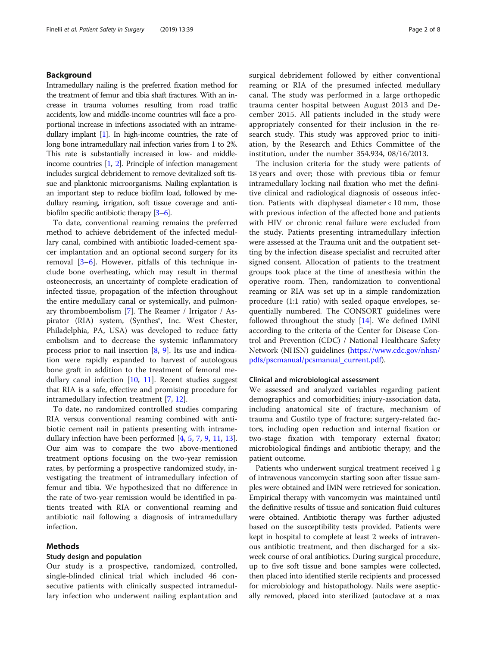# Background

Intramedullary nailing is the preferred fixation method for the treatment of femur and tibia shaft fractures. With an increase in trauma volumes resulting from road traffic accidents, low and middle-income countries will face a proportional increase in infections associated with an intramedullary implant [\[1](#page-6-0)]. In high-income countries, the rate of long bone intramedullary nail infection varies from 1 to 2%. This rate is substantially increased in low- and middleincome countries [\[1,](#page-6-0) [2\]](#page-6-0). Principle of infection management includes surgical debridement to remove devitalized soft tissue and planktonic microorganisms. Nailing explantation is an important step to reduce biofilm load, followed by medullary reaming, irrigation, soft tissue coverage and antibiofilm specific antibiotic therapy [\[3](#page-6-0)–[6](#page-6-0)].

To date, conventional reaming remains the preferred method to achieve debridement of the infected medullary canal, combined with antibiotic loaded-cement spacer implantation and an optional second surgery for its removal [[3](#page-6-0)–[6\]](#page-6-0). However, pitfalls of this technique include bone overheating, which may result in thermal osteonecrosis, an uncertainty of complete eradication of infected tissue, propagation of the infection throughout the entire medullary canal or systemically, and pulmonary thromboembolism [\[7](#page-6-0)]. The Reamer / Irrigator / Aspirator (RIA) system, (Synthes<sup>®</sup>, Inc. West Chester, Philadelphia, PA, USA) was developed to reduce fatty embolism and to decrease the systemic inflammatory process prior to nail insertion  $[8, 9]$  $[8, 9]$  $[8, 9]$ . Its use and indication were rapidly expanded to harvest of autologous bone graft in addition to the treatment of femoral medullary canal infection [[10,](#page-6-0) [11](#page-6-0)]. Recent studies suggest that RIA is a safe, effective and promising procedure for intramedullary infection treatment [\[7](#page-6-0), [12](#page-6-0)].

To date, no randomized controlled studies comparing RIA versus conventional reaming combined with antibiotic cement nail in patients presenting with intramedullary infection have been performed [[4,](#page-6-0) [5,](#page-6-0) [7](#page-6-0), [9](#page-6-0), [11](#page-6-0), [13](#page-6-0)]. Our aim was to compare the two above-mentioned treatment options focusing on the two-year remission rates, by performing a prospective randomized study, investigating the treatment of intramedullary infection of femur and tibia. We hypothesized that no difference in the rate of two-year remission would be identified in patients treated with RIA or conventional reaming and antibiotic nail following a diagnosis of intramedullary infection.

#### Methods

# Study design and population

Our study is a prospective, randomized, controlled, single-blinded clinical trial which included 46 consecutive patients with clinically suspected intramedullary infection who underwent nailing explantation and surgical debridement followed by either conventional reaming or RIA of the presumed infected medullary canal. The study was performed in a large orthopedic trauma center hospital between August 2013 and December 2015. All patients included in the study were appropriately consented for their inclusion in the research study. This study was approved prior to initiation, by the Research and Ethics Committee of the institution, under the number 354.934, 08/16/2013.

The inclusion criteria for the study were patients of 18 years and over; those with previous tibia or femur intramedullary locking nail fixation who met the definitive clinical and radiological diagnosis of osseous infection. Patients with diaphyseal diameter < 10 mm, those with previous infection of the affected bone and patients with HIV or chronic renal failure were excluded from the study. Patients presenting intramedullary infection were assessed at the Trauma unit and the outpatient setting by the infection disease specialist and recruited after signed consent. Allocation of patients to the treatment groups took place at the time of anesthesia within the operative room. Then, randomization to conventional reaming or RIA was set up in a simple randomization procedure (1:1 ratio) with sealed opaque envelopes, sequentially numbered. The CONSORT guidelines were followed throughout the study  $[14]$ . We defined IMNI according to the criteria of the Center for Disease Control and Prevention (CDC) / National Healthcare Safety Network (NHSN) guidelines [\(https://www.cdc.gov/nhsn/](https://www.cdc.gov/nhsn/pdfs/pscmanual/pcsmanual_current.pdf) [pdfs/pscmanual/pcsmanual\\_current.pdf\)](https://www.cdc.gov/nhsn/pdfs/pscmanual/pcsmanual_current.pdf).

# Clinical and microbiological assessment

We assessed and analyzed variables regarding patient demographics and comorbidities; injury-association data, including anatomical site of fracture, mechanism of trauma and Gustilo type of fracture; surgery-related factors, including open reduction and internal fixation or two-stage fixation with temporary external fixator; microbiological findings and antibiotic therapy; and the patient outcome.

Patients who underwent surgical treatment received 1 g of intravenous vancomycin starting soon after tissue samples were obtained and IMN were retrieved for sonication. Empirical therapy with vancomycin was maintained until the definitive results of tissue and sonication fluid cultures were obtained. Antibiotic therapy was further adjusted based on the susceptibility tests provided. Patients were kept in hospital to complete at least 2 weeks of intravenous antibiotic treatment, and then discharged for a sixweek course of oral antibiotics. During surgical procedure, up to five soft tissue and bone samples were collected, then placed into identified sterile recipients and processed for microbiology and histopathology. Nails were aseptically removed, placed into sterilized (autoclave at a max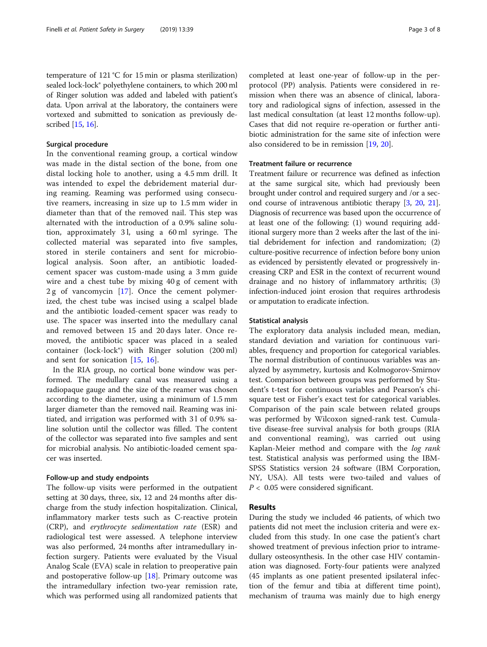temperature of 121 °C for 15 min or plasma sterilization) sealed lock-lock® polyethylene containers, to which 200 ml of Ringer solution was added and labeled with patient's data. Upon arrival at the laboratory, the containers were vortexed and submitted to sonication as previously described [\[15,](#page-6-0) [16\]](#page-6-0).

# Surgical procedure

In the conventional reaming group, a cortical window was made in the distal section of the bone, from one distal locking hole to another, using a 4.5 mm drill. It was intended to expel the debridement material during reaming. Reaming was performed using consecutive reamers, increasing in size up to 1.5 mm wider in diameter than that of the removed nail. This step was alternated with the introduction of a 0.9% saline solution, approximately 3 l, using a 60 ml syringe. The collected material was separated into five samples, stored in sterile containers and sent for microbiological analysis. Soon after, an antibiotic loadedcement spacer was custom-made using a 3 mm guide wire and a chest tube by mixing 40 g of cement with 2 g of vancomycin [\[17](#page-6-0)]. Once the cement polymerized, the chest tube was incised using a scalpel blade and the antibiotic loaded-cement spacer was ready to use. The spacer was inserted into the medullary canal and removed between 15 and 20 days later. Once removed, the antibiotic spacer was placed in a sealed container (lock-lock®) with Ringer solution (200 ml) and sent for sonication [[15,](#page-6-0) [16\]](#page-6-0).

In the RIA group, no cortical bone window was performed. The medullary canal was measured using a radiopaque gauge and the size of the reamer was chosen according to the diameter, using a minimum of 1.5 mm larger diameter than the removed nail. Reaming was initiated, and irrigation was performed with 31 of 0.9% saline solution until the collector was filled. The content of the collector was separated into five samples and sent for microbial analysis. No antibiotic-loaded cement spacer was inserted.

# Follow-up and study endpoints

The follow-up visits were performed in the outpatient setting at 30 days, three, six, 12 and 24 months after discharge from the study infection hospitalization. Clinical, inflammatory marker tests such as C-reactive protein (CRP), and erythrocyte sedimentation rate (ESR) and radiological test were assessed. A telephone interview was also performed, 24 months after intramedullary infection surgery. Patients were evaluated by the Visual Analog Scale (EVA) scale in relation to preoperative pain and postoperative follow-up [[18](#page-6-0)]. Primary outcome was the intramedullary infection two-year remission rate, which was performed using all randomized patients that completed at least one-year of follow-up in the perprotocol (PP) analysis. Patients were considered in remission when there was an absence of clinical, laboratory and radiological signs of infection, assessed in the last medical consultation (at least 12 months follow-up). Cases that did not require re-operation or further antibiotic administration for the same site of infection were also considered to be in remission [[19,](#page-6-0) [20\]](#page-7-0).

# Treatment failure or recurrence

Treatment failure or recurrence was defined as infection at the same surgical site, which had previously been brought under control and required surgery and /or a second course of intravenous antibiotic therapy [[3,](#page-6-0) [20](#page-7-0), [21](#page-7-0)]. Diagnosis of recurrence was based upon the occurrence of at least one of the following: (1) wound requiring additional surgery more than 2 weeks after the last of the initial debridement for infection and randomization; (2) culture-positive recurrence of infection before bony union as evidenced by persistently elevated or progressively increasing CRP and ESR in the context of recurrent wound drainage and no history of inflammatory arthritis; (3) infection-induced joint erosion that requires arthrodesis or amputation to eradicate infection.

### Statistical analysis

The exploratory data analysis included mean, median, standard deviation and variation for continuous variables, frequency and proportion for categorical variables. The normal distribution of continuous variables was analyzed by asymmetry, kurtosis and Kolmogorov-Smirnov test. Comparison between groups was performed by Student's t-test for continuous variables and Pearson's chisquare test or Fisher's exact test for categorical variables. Comparison of the pain scale between related groups was performed by Wilcoxon signed-rank test. Cumulative disease-free survival analysis for both groups (RIA and conventional reaming), was carried out using Kaplan-Meier method and compare with the log rank test. Statistical analysis was performed using the IBM-SPSS Statistics version 24 software (IBM Corporation, NY, USA). All tests were two-tailed and values of  $P < 0.05$  were considered significant.

# Results

During the study we included 46 patients, of which two patients did not meet the inclusion criteria and were excluded from this study. In one case the patient's chart showed treatment of previous infection prior to intramedullary osteosynthesis. In the other case HIV contamination was diagnosed. Forty-four patients were analyzed (45 implants as one patient presented ipsilateral infection of the femur and tibia at different time point), mechanism of trauma was mainly due to high energy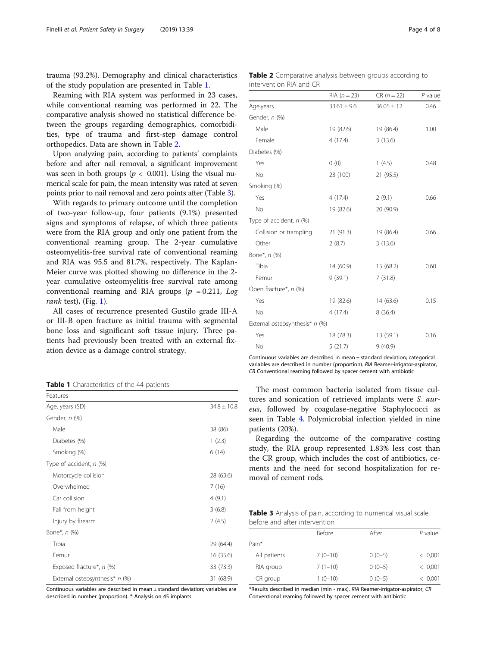trauma (93.2%). Demography and clinical characteristics of the study population are presented in Table 1.

Reaming with RIA system was performed in 23 cases, while conventional reaming was performed in 22. The comparative analysis showed no statistical difference between the groups regarding demographics, comorbidities, type of trauma and first-step damage control orthopedics. Data are shown in Table 2.

Upon analyzing pain, according to patients' complaints before and after nail removal, a significant improvement was seen in both groups ( $p < 0.001$ ). Using the visual numerical scale for pain, the mean intensity was rated at seven points prior to nail removal and zero points after (Table 3).

With regards to primary outcome until the completion of two-year follow-up, four patients (9.1%) presented signs and symptoms of relapse, of which three patients were from the RIA group and only one patient from the conventional reaming group. The 2-year cumulative osteomyelitis-free survival rate of conventional reaming and RIA was 95.5 and 81.7%, respectively. The Kaplan-Meier curve was plotted showing no difference in the 2 year cumulative osteomyelitis-free survival rate among conventional reaming and RIA groups ( $p = 0.211$ , Log rank test), (Fig.  $1$ ).

All cases of recurrence presented Gustilo grade III-A or III-B open fracture as initial trauma with segmental bone loss and significant soft tissue injury. Three patients had previously been treated with an external fixation device as a damage control strategy.

Table 1 Characteristics of the 44 patients

| Features                       |                 |
|--------------------------------|-----------------|
| Age, years (SD)                | $34.8 \pm 10.8$ |
| Gender, n (%)                  |                 |
| Male                           | 38 (86)         |
| Diabetes (%)                   | 1(2.3)          |
| Smoking (%)                    | 6(14)           |
| Type of accident, $n$ (%)      |                 |
| Motorcycle collision           | 28 (63.6)       |
| Overwhelmed                    | 7(16)           |
| Car collision                  | 4(9.1)          |
| Fall from height               | 3(6.8)          |
| Injury by firearm              | 2(4.5)          |
| Bone*, <i>n</i> (%)            |                 |
| Tibia                          | 29 (64.4)       |
| Femur                          | 16 (35.6)       |
| Exposed fracture*, n (%)       | 33 (73.3)       |
| External osteosynthesis* n (%) | 31 (68.9)       |

Continuous variables are described in mean ± standard deviation; variables are described in number (proportion). \* Analysis on 45 implants

Table 2 Comparative analysis between groups according to intervention RIA and CR

|                                | $RIA (n = 23)$  | $CR (n = 22)$  | $P$ value |
|--------------------------------|-----------------|----------------|-----------|
| Age,years                      | $33.61 \pm 9.6$ | $36.05 \pm 12$ | 0.46      |
| Gender, n (%)                  |                 |                |           |
| Male                           | 19 (82.6)       | 19 (86.4)      | 1.00      |
| Female                         | 4(17.4)         | 3(13.6)        |           |
| Diabetes (%)                   |                 |                |           |
| Yes                            | 0(0)            | 1(4.5)         | 0.48      |
| <b>No</b>                      | 23 (100)        | 21 (95.5)      |           |
| Smoking (%)                    |                 |                |           |
| Yes                            | 4(17.4)         | 2(9.1)         | 0.66      |
| No                             | 19 (82.6)       | 20 (90.9)      |           |
| Type of accident, n (%)        |                 |                |           |
| Collision or trampling         | 21(91.3)        | 19 (86.4)      | 0.66      |
| Other                          | 2(8.7)          | 3(13.6)        |           |
| Bone*, n (%)                   |                 |                |           |
| Tibia                          | 14(60.9)        | 15 (68.2)      | 0.60      |
| Femur                          | 9(39.1)         | 7(31.8)        |           |
| Open fracture*, n (%)          |                 |                |           |
| Yes                            | 19 (82.6)       | 14(63.6)       | 0.15      |
| No                             | 4(17.4)         | 8(36.4)        |           |
| External osteosynthesis* n (%) |                 |                |           |
| Yes                            | 18 (78.3)       | 13 (59.1)      | 0.16      |
| <b>No</b>                      | 5(21.7)         | 9(40.9)        |           |

Continuous variables are described in mean ± standard deviation; categorical variables are described in number (proportion). RIA Reamer-irrigator-aspirator, CR Conventional reaming followed by spacer cement with antibiotic

The most common bacteria isolated from tissue cultures and sonication of retrieved implants were S. aureus, followed by coagulase-negative Staphylococci as seen in Table [4](#page-4-0). Polymicrobial infection yielded in nine patients (20%).

Regarding the outcome of the comparative costing study, the RIA group represented 1.83% less cost than the CR group, which includes the cost of antibiotics, cements and the need for second hospitalization for removal of cement rods.

Table 3 Analysis of pain, according to numerical visual scale, before and after intervention

|              | <b>Before</b> | After    | $P$ value |
|--------------|---------------|----------|-----------|
| Pain*        |               |          |           |
| All patients | $7(0-10)$     | $0(0-5)$ | < 0.001   |
| RIA group    | $7(1-10)$     | $0(0-5)$ | < 0.001   |
| CR group     | $1(0-10)$     | $0(0-5)$ | < 0.001   |

\*Results described in median (min - max). RIA Reamer-irrigator-aspirator, CR Conventional reaming followed by spacer cement with antibiotic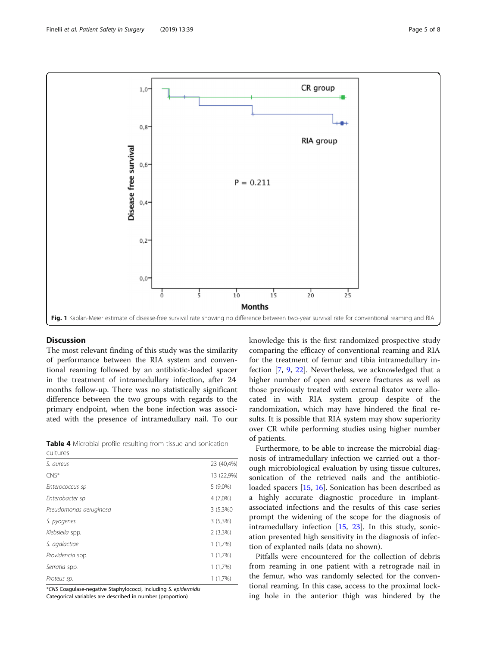<span id="page-4-0"></span>

# **Discussion**

The most relevant finding of this study was the similarity of performance between the RIA system and conventional reaming followed by an antibiotic-loaded spacer in the treatment of intramedullary infection, after 24 months follow-up. There was no statistically significant difference between the two groups with regards to the primary endpoint, when the bone infection was associated with the presence of intramedullary nail. To our

Table 4 Microbial profile resulting from tissue and sonication cultures

| S. aureus              | 23 (40,4%) |
|------------------------|------------|
| $CNS^*$                | 13 (22,9%) |
| Enterococcus sp        | $5(9,0\%)$ |
| Enterobacter sp        | 4 (7,0%)   |
| Pseudomonas aeruginosa | 3 (5,3%0)  |
| S. pyogenes            | $3(5,3\%)$ |
| Klebsiella spp.        | $2(3,3\%)$ |
| S. agalactiae          | 1(1,7%)    |
| Providencia spp.       | 1(1,7%)    |
| Serratia spp.          | 1(1,7%)    |
| Proteus sp.            | 1(1,7%)    |
|                        |            |

\*CNS Coagulase-negative Staphylococci, including S. epidermidis

Categorical variables are described in number (proportion)

knowledge this is the first randomized prospective study comparing the efficacy of conventional reaming and RIA for the treatment of femur and tibia intramedullary infection [[7,](#page-6-0) [9](#page-6-0), [22](#page-7-0)]. Nevertheless, we acknowledged that a higher number of open and severe fractures as well as those previously treated with external fixator were allocated in with RIA system group despite of the randomization, which may have hindered the final results. It is possible that RIA system may show superiority over CR while performing studies using higher number of patients.

Furthermore, to be able to increase the microbial diagnosis of intramedullary infection we carried out a thorough microbiological evaluation by using tissue cultures, sonication of the retrieved nails and the antibioticloaded spacers [\[15](#page-6-0), [16](#page-6-0)]. Sonication has been described as a highly accurate diagnostic procedure in implantassociated infections and the results of this case series prompt the widening of the scope for the diagnosis of intramedullary infection [[15,](#page-6-0) [23\]](#page-7-0). In this study, sonication presented high sensitivity in the diagnosis of infection of explanted nails (data no shown).

Pitfalls were encountered for the collection of debris from reaming in one patient with a retrograde nail in the femur, who was randomly selected for the conventional reaming. In this case, access to the proximal locking hole in the anterior thigh was hindered by the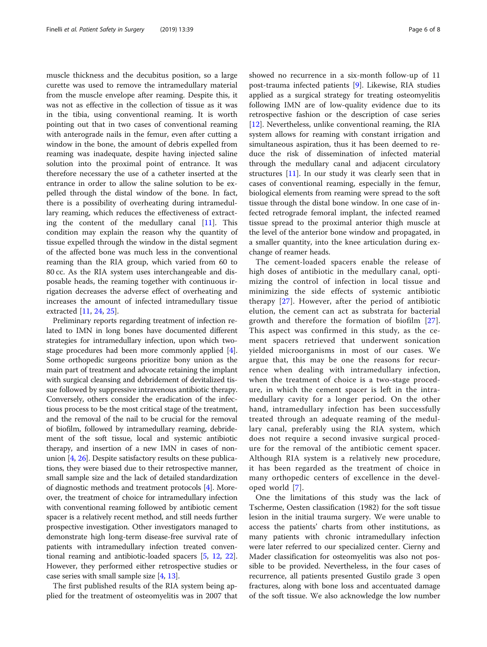muscle thickness and the decubitus position, so a large curette was used to remove the intramedullary material from the muscle envelope after reaming. Despite this, it was not as effective in the collection of tissue as it was in the tibia, using conventional reaming. It is worth pointing out that in two cases of conventional reaming with anterograde nails in the femur, even after cutting a window in the bone, the amount of debris expelled from reaming was inadequate, despite having injected saline solution into the proximal point of entrance. It was therefore necessary the use of a catheter inserted at the entrance in order to allow the saline solution to be expelled through the distal window of the bone. In fact, there is a possibility of overheating during intramedullary reaming, which reduces the effectiveness of extracting the content of the medullary canal [[11\]](#page-6-0). This condition may explain the reason why the quantity of tissue expelled through the window in the distal segment of the affected bone was much less in the conventional reaming than the RIA group, which varied from 60 to 80 cc. As the RIA system uses interchangeable and disposable heads, the reaming together with continuous irrigation decreases the adverse effect of overheating and increases the amount of infected intramedullary tissue extracted [\[11](#page-6-0), [24](#page-7-0), [25](#page-7-0)].

Preliminary reports regarding treatment of infection related to IMN in long bones have documented different strategies for intramedullary infection, upon which twostage procedures had been more commonly applied [[4](#page-6-0)]. Some orthopedic surgeons prioritize bony union as the main part of treatment and advocate retaining the implant with surgical cleansing and debridement of devitalized tissue followed by suppressive intravenous antibiotic therapy. Conversely, others consider the eradication of the infectious process to be the most critical stage of the treatment, and the removal of the nail to be crucial for the removal of biofilm, followed by intramedullary reaming, debridement of the soft tissue, local and systemic antibiotic therapy, and insertion of a new IMN in cases of nonunion [[4,](#page-6-0) [26](#page-7-0)]. Despite satisfactory results on these publications, they were biased due to their retrospective manner, small sample size and the lack of detailed standardization of diagnostic methods and treatment protocols [\[4\]](#page-6-0). Moreover, the treatment of choice for intramedullary infection with conventional reaming followed by antibiotic cement spacer is a relatively recent method, and still needs further prospective investigation. Other investigators managed to demonstrate high long-term disease-free survival rate of patients with intramedullary infection treated conventional reaming and antibiotic-loaded spacers [\[5](#page-6-0), [12](#page-6-0), [22](#page-7-0)]. However, they performed either retrospective studies or case series with small sample size [[4](#page-6-0), [13\]](#page-6-0).

The first published results of the RIA system being applied for the treatment of osteomyelitis was in 2007 that

showed no recurrence in a six-month follow-up of 11 post-trauma infected patients [[9](#page-6-0)]. Likewise, RIA studies applied as a surgical strategy for treating osteomyelitis following IMN are of low-quality evidence due to its retrospective fashion or the description of case series [[12\]](#page-6-0). Nevertheless, unlike conventional reaming, the RIA system allows for reaming with constant irrigation and simultaneous aspiration, thus it has been deemed to reduce the risk of dissemination of infected material through the medullary canal and adjacent circulatory structures [[11](#page-6-0)]. In our study it was clearly seen that in cases of conventional reaming, especially in the femur, biological elements from reaming were spread to the soft tissue through the distal bone window. In one case of infected retrograde femoral implant, the infected reamed tissue spread to the proximal anterior thigh muscle at the level of the anterior bone window and propagated, in a smaller quantity, into the knee articulation during exchange of reamer heads.

The cement-loaded spacers enable the release of high doses of antibiotic in the medullary canal, optimizing the control of infection in local tissue and minimizing the side effects of systemic antibiotic therapy [[27](#page-7-0)]. However, after the period of antibiotic elution, the cement can act as substrata for bacterial growth and therefore the formation of biofilm [[27](#page-7-0)]. This aspect was confirmed in this study, as the cement spacers retrieved that underwent sonication yielded microorganisms in most of our cases. We argue that, this may be one the reasons for recurrence when dealing with intramedullary infection, when the treatment of choice is a two-stage procedure, in which the cement spacer is left in the intramedullary cavity for a longer period. On the other hand, intramedullary infection has been successfully treated through an adequate reaming of the medullary canal, preferably using the RIA system, which does not require a second invasive surgical procedure for the removal of the antibiotic cement spacer. Although RIA system is a relatively new procedure, it has been regarded as the treatment of choice in many orthopedic centers of excellence in the developed world [[7](#page-6-0)].

One the limitations of this study was the lack of Tscherme, Oesten classification (1982) for the soft tissue lesion in the initial trauma surgery. We were unable to access the patients' charts from other institutions, as many patients with chronic intramedullary infection were later referred to our specialized center. Cierny and Mader classification for osteomyelitis was also not possible to be provided. Nevertheless, in the four cases of recurrence, all patients presented Gustilo grade 3 open fractures, along with bone loss and accentuated damage of the soft tissue. We also acknowledge the low number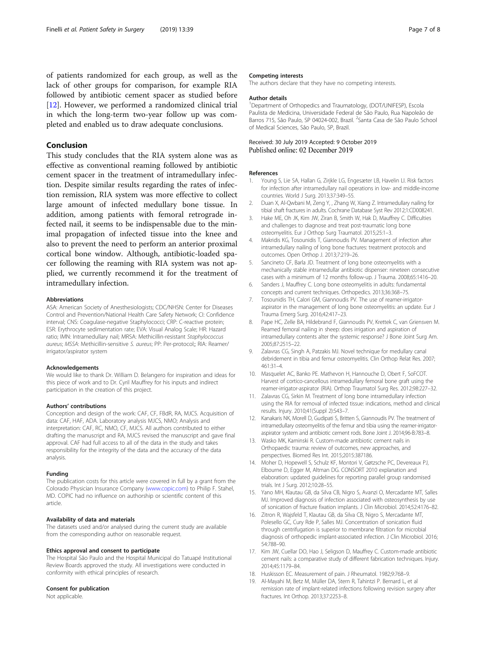<span id="page-6-0"></span>of patients randomized for each group, as well as the lack of other groups for comparison, for example RIA followed by antibiotic cement spacer as studied before [12]. However, we performed a randomized clinical trial in which the long-term two-year follow up was completed and enabled us to draw adequate conclusions.

# Conclusion

This study concludes that the RIA system alone was as effective as conventional reaming followed by antibiotic cement spacer in the treatment of intramedullary infection. Despite similar results regarding the rates of infection remission, RIA system was more effective to collect large amount of infected medullary bone tissue. In addition, among patients with femoral retrograde infected nail, it seems to be indispensable due to the minimal propagation of infected tissue into the knee and also to prevent the need to perform an anterior proximal cortical bone window. Although, antibiotic-loaded spacer following the reaming with RIA system was not applied, we currently recommend it for the treatment of intramedullary infection.

#### Abbreviations

ASA: American Society of Anesthesiologists; CDC/NHSN: Center for Diseases Control and Prevention/National Health Care Safety Network; CI: Confidence interval; CNS: Coagulase-negative Staphylococci; CRP: C-reactive protein; ESR: Erythrocyte sedimentation rate; EVA: Visual Analog Scale; HR: Hazard ratio; IMN: Intramedullary nail; MRSA: Methicillin-resistant Staphylococcus aureus; MSSA: Methicillin-sensitive S. aureus; PP: Per-protocol;; RIA: Reamer/ irrigator/aspirator system

#### Acknowledgements

We would like to thank Dr. William D. Belangero for inspiration and ideas for this piece of work and to Dr. Cyril Mauffrey for his inputs and indirect participation in the creation of this project.

#### Authors' contributions

Conception and design of the work: CAF, CF, FBdR, RA, MJCS. Acquisition of data: CAF, HAF, ADA. Laboratory analysis MJCS, NMO; Analysis and interpretation: CAF, RC, NMO, CF, MJCS. All authors contributed to either drafting the manuscript and RA, MJCS revised the manuscript and gave final approval. CAF had full access to all of the data in the study and takes responsibility for the integrity of the data and the accuracy of the data analysis.

#### Funding

The publication costs for this article were covered in full by a grant from the Colorado Physician Insurance Company [\(www.copic.com](http://www.copic.com/)) to Philip F. Stahel, MD. COPIC had no influence on authorship or scientific content of this article.

#### Availability of data and materials

The datasets used and/or analysed during the current study are available from the corresponding author on reasonable request.

#### Ethics approval and consent to participate

The Hospital São Paulo and the Hospital Municipal do Tatuapé Institutional Review Boards approved the study. All investigations were conducted in conformity with ethical principles of research.

#### Consent for publication

Not applicable.

#### Competing interests

The authors declare that they have no competing interests.

#### Author details

<sup>1</sup>Department of Orthopedics and Traumatology, (DOT/UNIFESP), Escola Paulista de Medicina, Universidade Federal de São Paulo, Rua Napoleão de Barros 715, São Paulo, SP 04024-002, Brazil. <sup>2</sup>Santa Casa de São Paulo School of Medical Sciences, São Paulo, SP, Brazil.

### Received: 30 July 2019 Accepted: 9 October 2019 Published online: 02 December 2019

#### References

- 1. Young S, Lie SA, Hallan G, Zirjkle LG, Engesæter LB, Havelin LI. Risk factors for infection after intramedullary nail operations in low- and middle-income countries. World J Surg. 2013;37:349–55.
- 2. Duan X, Al-Qwbani M, Zeng Y, , Zhang W, Xiang Z. Intramedullary nailing for tibial shaft fractures in adults. Cochrane Database Syst Rev 2012;1:CD008241.
- 3. Hake ME, Oh JK, Kim JW, Ziran B, Smith W, Hak D, Mauffrey C. Difficulties and challenges to diagnose and treat post-traumatic long bone osteomyelitis. Eur J Orthop Surg Traumatol. 2015;25:1–3.
- 4. Makridis KG, Tosounidis T, Giannoudis PV. Management of infection after intramedullary nailing of long bone fractures: treatment protocols and outcomes. Open Orthop J. 2013;7:219–26.
- Sancineto CF, Barla JD. Treatment of long bone osteomyelitis with a mechanically stable intramedullar antibiotic dispenser: nineteen consecutive cases with a minimum of 12 months follow-up. J Trauma. 2008;65:1416–20.
- 6. Sanders J, Mauffrey C. Long bone osteomyelitis in adults: fundamental concepts and current techniques. Orthopedics. 2013;36:368–75.
- 7. Tosounidis TH, Calori GM, Giannoudis PV. The use of reamer-irrigatoraspirator in the management of long bone osteomyelitis: an update. Eur J Trauma Emerg Surg. 2016;42:417–23.
- 8. Pape HC, Zelle BA, Hildebrand F, Giannoudis PV, Krettek C, van Griensven M. Reamed femoral nailing in sheep: does irrigation and aspiration of intramedullary contents alter the systemic response? J Bone Joint Surg Am. 2005;87:2515–22.
- 9. Zalavras CG, Singh A, Patzakis MJ. Novel technique for medullary canal debridement in tibia and femur osteomyelitis. Clin Orthop Relat Res. 2007; 461:31–4.
- 10. Masquelet AC, Banko PE. Mathevon H, Hannouche D, Obert F, SoFCOT. Harvest of cortico-cancellous intramedullary femoral bone graft using the reamer-irrigator-aspirator (RIA). Orthop Traumatol Surg Res. 2012;98:227–32.
- 11. Zalavras CG, Sirkin M. Treatment of long bone intramedullary infection using the RIA for removal of infected tissue: indications, method and clinical results. Injury. 2010;41(Suppl 2):S43–7.
- 12. Kanakaris NK, Morell D, Gudipati S, Britten S, Giannoudis PV. The treatment of intramedullary osteomyelitis of the femur and tibia using the reamer-irrigatoraspirator system and antibiotic cement rods. Bone Joint J. 2014;96-B:783–8.
- 13. Wasko MK, Kaminski R. Custom-made antibiotic cement nails in Orthopaedic trauma: review of outcomes, new approaches, and perspectives. Biomed Res Int. 2015;2015:387186.
- 14. Moher D, Hopewell S, Schulz KF, Montori V, Gøtzsche PC, Devereaux PJ, Elbourne D, Egger M, Altman DG. CONSORT 2010 explanation and elaboration: updated guidelines for reporting parallel group randomised trials. Int J Surg. 2012;10:28–55.
- 15. Yano MH, Klautau GB, da Silva CB, Nigro S, Avanzi O, Mercadante MT, Salles MJ. Improved diagnosis of infection associated with osteosynthesis by use of sonication of fracture fixation implants. J Clin Microbiol. 2014;52:4176–82.
- 16. Zitron R, Wajsfeld T, Klautau GB, da Silva CB, Nigro S, Mercadante MT, Polesello GC, Cury Rde P, Salles MJ. Concentration of sonication fluid through centrifugation is superior to membrane filtration for microbial diagnosis of orthopedic implant-associated infection. J Clin Microbiol. 2016; 54:788–90.
- 17. Kim JW, Cuellar DO, Hao J, Seligson D, Mauffrey C. Custom-made antibiotic cement nails: a comparative study of different fabrication techniques. Injury. 2014;45:1179–84.
- 18. Huskisson EC. Measurement of pain. J Rheumatol. 1982;9:768–9.
- 19. Al-Mayahi M, Betz M, Müller DA, Stern R, Tahintzi P. Bernard L, et al remission rate of implant-related infections following revision surgery after fractures. Int Orthop. 2013;37:2253–8.